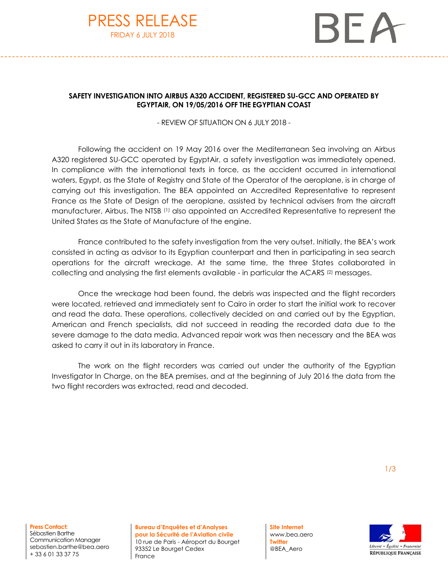



## **SAFETY INVESTIGATION INTO AIRBUS A320 ACCIDENT, REGISTERED SU-GCC AND OPERATED BY EGYPTAIR, ON 19/05/2016 OFF THE EGYPTIAN COAST**

- REVIEW OF SITUATION ON 6 JULY 2018 -

Following the accident on 19 May 2016 over the Mediterranean Sea involving an Airbus A320 registered SU-GCC operated by EgyptAir, a safety investigation was immediately opened. In compliance with the international texts in force, as the accident occurred in international waters, Egypt, as the State of Registry and State of the Operator of the aeroplane, is in charge of carrying out this investigation. The BEA appointed an Accredited Representative to represent France as the State of Design of the aeroplane, assisted by technical advisers from the aircraft manufacturer, Airbus. The NTSB (1) also appointed an Accredited Representative to represent the United States as the State of Manufacture of the engine.

France contributed to the safety investigation from the very outset. Initially, the BEA's work consisted in acting as advisor to its Egyptian counterpart and then in participating in sea search operations for the aircraft wreckage. At the same time, the three States collaborated in collecting and analysing the first elements available - in particular the ACARS (2) messages.

Once the wreckage had been found, the debris was inspected and the flight recorders were located, retrieved and immediately sent to Cairo in order to start the initial work to recover and read the data. These operations, collectively decided on and carried out by the Egyptian, American and French specialists, did not succeed in reading the recorded data due to the severe damage to the data media. Advanced repair work was then necessary and the BEA was asked to carry it out in its laboratory in France.

The work on the flight recorders was carried out under the authority of the Egyptian Investigator In Charge, on the BEA premises, and at the beginning of July 2016 the data from the two flight recorders was extracted, read and decoded.

**Press Contact:** Sébastien Barthe Communication Manager sebastien.barthe@bea.aero + 33 6 01 33 37 75

**Bureau d'Enquêtes et d'Analyses pour la Sécurité de l'Aviation civile** 10 rue de Paris - Aéroport du Bourget 93352 Le Bourget Cedex France

**Site Internet** www.bea.aero **Twitter** @BEA\_Aero

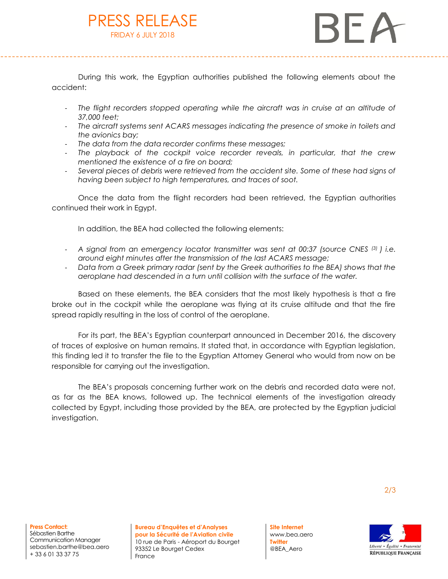## PRESS RELEASE FRIDAY 6 JULY 2018

BF A

During this work, the Egyptian authorities published the following elements about the accident:

- The flight recorders stopped operating while the aircraft was in cruise at an altitude of *37,000 feet;*
- *The aircraft systems sent ACARS messages indicating the presence of smoke in toilets and the avionics bay;*
- *The data from the data recorder confirms these messages;*
- *The playback of the cockpit voice recorder reveals, in particular, that the crew mentioned the existence of a fire on board;*
- *Several pieces of debris were retrieved from the accident site. Some of these had signs of having been subject to high temperatures, and traces of soot.*

Once the data from the flight recorders had been retrieved, the Egyptian authorities continued their work in Egypt.

In addition, the BEA had collected the following elements:

- *A signal from an emergency locator transmitter was sent at 00:37 (source CNES (3) ) i.e. around eight minutes after the transmission of the last ACARS message;*
- *Data from a Greek primary radar (sent by the Greek authorities to the BEA) shows that the aeroplane had descended in a turn until collision with the surface of the water.*

Based on these elements, the BEA considers that the most likely hypothesis is that a fire broke out in the cockpit while the aeroplane was flying at its cruise altitude and that the fire spread rapidly resulting in the loss of control of the aeroplane.

For its part, the BEA's Egyptian counterpart announced in December 2016, the discovery of traces of explosive on human remains. It stated that, in accordance with Egyptian legislation, this finding led it to transfer the file to the Egyptian Attorney General who would from now on be responsible for carrying out the investigation.

The BEA's proposals concerning further work on the debris and recorded data were not, as far as the BEA knows, followed up. The technical elements of the investigation already collected by Egypt, including those provided by the BEA, are protected by the Egyptian judicial investigation.

**Press Contact:** Sébastien Barthe Communication Manager sebastien.barthe@bea.aero + 33 6 01 33 37 75

**Bureau d'Enquêtes et d'Analyses pour la Sécurité de l'Aviation civile** 10 rue de Paris - Aéroport du Bourget 93352 Le Bourget Cedex France

**Site Internet** www.bea.aero **Twitter** @BEA\_Aero